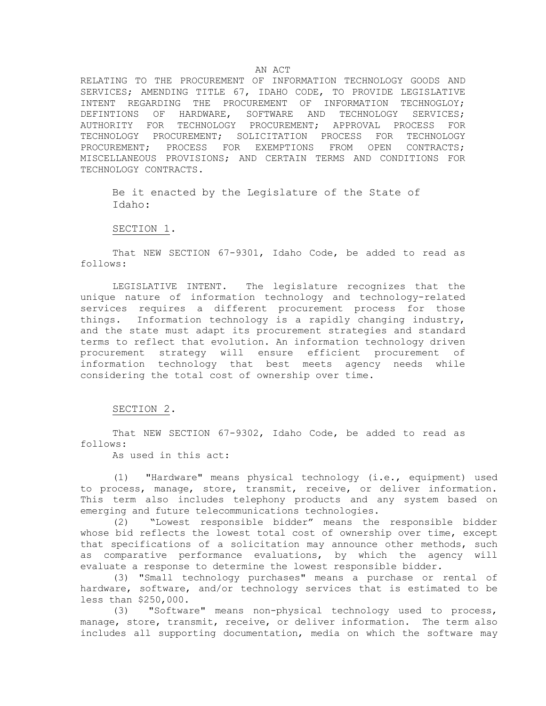RELATING TO THE PROCUREMENT OF INFORMATION TECHNOLOGY GOODS AND SERVICES; AMENDING TITLE 67, IDAHO CODE, TO PROVIDE LEGISLATIVE INTENT REGARDING THE PROCUREMENT OF INFORMATION TECHNOGLOY; DEFINTIONS OF HARDWARE, SOFTWARE AND TECHNOLOGY SERVICES; AUTHORITY FOR TECHNOLOGY PROCUREMENT; APPROVAL PROCESS FOR TECHNOLOGY PROCUREMENT; SOLICITATION PROCESS FOR TECHNOLOGY PROCUREMENT; PROCESS FOR EXEMPTIONS FROM OPEN CONTRACTS; MISCELLANEOUS PROVISIONS; AND CERTAIN TERMS AND CONDITIONS FOR TECHNOLOGY CONTRACTS.

Be it enacted by the Legislature of the State of Idaho:

SECTION 1.

That NEW SECTION 67-9301, Idaho Code, be added to read as follows:

LEGISLATIVE INTENT. The legislature recognizes that the unique nature of information technology and technology-related services requires a different procurement process for those things. Information technology is a rapidly changing industry, and the state must adapt its procurement strategies and standard terms to reflect that evolution. An information technology driven procurement strategy will ensure efficient procurement of information technology that best meets agency needs while considering the total cost of ownership over time.

## SECTION 2.

That NEW SECTION 67-9302, Idaho Code, be added to read as follows:

As used in this act:

(1) "Hardware" means physical technology (i.e., equipment) used to process, manage, store, transmit, receive, or deliver information. This term also includes telephony products and any system based on emerging and future telecommunications technologies.

(2) "Lowest responsible bidder" means the responsible bidder whose bid reflects the lowest total cost of ownership over time, except that specifications of a solicitation may announce other methods, such as comparative performance evaluations, by which the agency will evaluate a response to determine the lowest responsible bidder.

(3) "Small technology purchases" means a purchase or rental of hardware, software, and/or technology services that is estimated to be less than \$250,000.

(3) "Software" means non-physical technology used to process, manage, store, transmit, receive, or deliver information. The term also includes all supporting documentation, media on which the software may

# AN ACT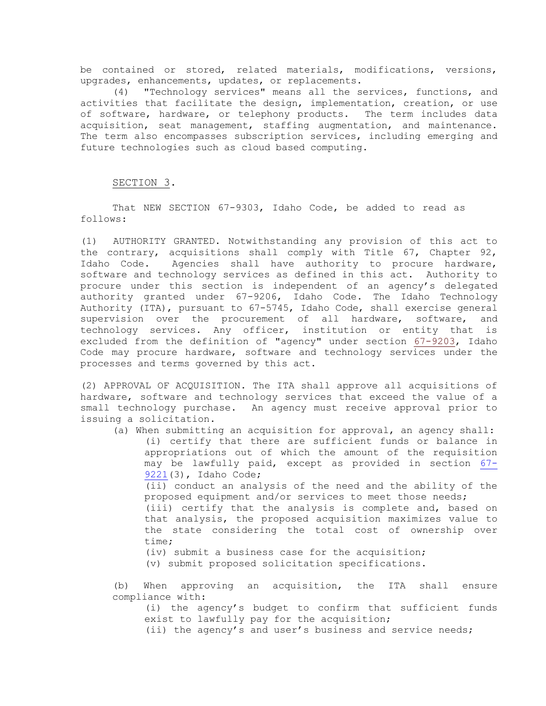be contained or stored, related materials, modifications, versions, upgrades, enhancements, updates, or replacements.

(4) "Technology services" means all the services, functions, and activities that facilitate the design, implementation, creation, or use of software, hardware, or telephony products. The term includes data acquisition, seat management, staffing augmentation, and maintenance. The term also encompasses subscription services, including emerging and future technologies such as cloud based computing.

SECTION 3.

That NEW SECTION 67-9303, Idaho Code, be added to read as follows:

(1) AUTHORITY GRANTED. Notwithstanding any provision of this act to the contrary, acquisitions shall comply with Title 67, Chapter 92, Idaho Code. Agencies shall have authority to procure hardware, software and technology services as defined in this act. Authority to procure under this section is independent of an agency's delegated authority granted under 67-9206, Idaho Code. The Idaho Technology Authority (ITA), pursuant to 67-5745, Idaho Code, shall exercise general supervision over the procurement of all hardware, software, and technology services. Any officer, institution or entity that is excluded from the definition of "agency" under section [67-9203,](https://legislature.idaho.gov/idstat/Title67/T67CH92SECT67-9203.htm) Idaho Code may procure hardware, software and technology services under the processes and terms governed by this act.

(2) APPROVAL OF ACQUISITION. The ITA shall approve all acquisitions of hardware, software and technology services that exceed the value of a small technology purchase. An agency must receive approval prior to issuing a solicitation.

(a) When submitting an acquisition for approval, an agency shall: (i) certify that there are sufficient funds or balance in appropriations out of which the amount of the requisition may be lawfully paid, except as provided in section [67-](https://legislature.idaho.gov/idstat/Title67/T67CH92SECT67-9221.htm) [9221\(](https://legislature.idaho.gov/idstat/Title67/T67CH92SECT67-9221.htm)3), Idaho Code; (ii) conduct an analysis of the need and the ability of the proposed equipment and/or services to meet those needs; (iii) certify that the analysis is complete and, based on

that analysis, the proposed acquisition maximizes value to the state considering the total cost of ownership over time;

(iv) submit a business case for the acquisition; (v) submit proposed solicitation specifications.

(b) When approving an acquisition, the ITA shall ensure compliance with:

(i) the agency's budget to confirm that sufficient funds exist to lawfully pay for the acquisition;

(ii) the agency's and user's business and service needs;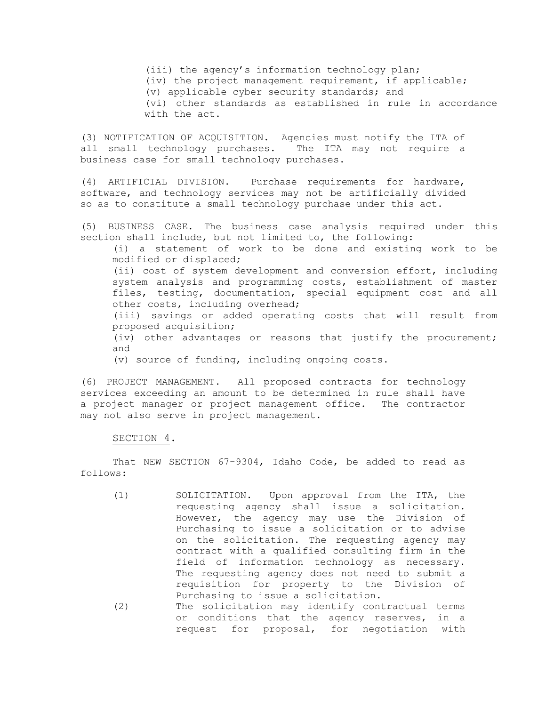(iii) the agency's information technology plan; (iv) the project management requirement, if applicable; (v) applicable cyber security standards; and (vi) other standards as established in rule in accordance with the act.

(3) NOTIFICATION OF ACQUISITION. Agencies must notify the ITA of all small technology purchases. The ITA may not require a business case for small technology purchases.

(4) ARTIFICIAL DIVISION. Purchase requirements for hardware, software, and technology services may not be artificially divided so as to constitute a small technology purchase under this act.

(5) BUSINESS CASE. The business case analysis required under this section shall include, but not limited to, the following:

(i) a statement of work to be done and existing work to be modified or displaced;

(ii) cost of system development and conversion effort, including system analysis and programming costs, establishment of master files, testing, documentation, special equipment cost and all other costs, including overhead;

(iii) savings or added operating costs that will result from proposed acquisition;

(iv) other advantages or reasons that justify the procurement; and

(v) source of funding, including ongoing costs.

(6) PROJECT MANAGEMENT. All proposed contracts for technology services exceeding an amount to be determined in rule shall have a project manager or project management office. The contractor may not also serve in project management.

### SECTION 4.

That NEW SECTION 67-9304, Idaho Code, be added to read as follows:

- (1) SOLICITATION. Upon approval from the ITA, the requesting agency shall issue a solicitation. However, the agency may use the Division of Purchasing to issue a solicitation or to advise on the solicitation. The requesting agency may contract with a qualified consulting firm in the field of information technology as necessary. The requesting agency does not need to submit a requisition for property to the Division of Purchasing to issue a solicitation. (2) The solicitation may identify contractual terms
	- or conditions that the agency reserves, in a request for proposal, for negotiation with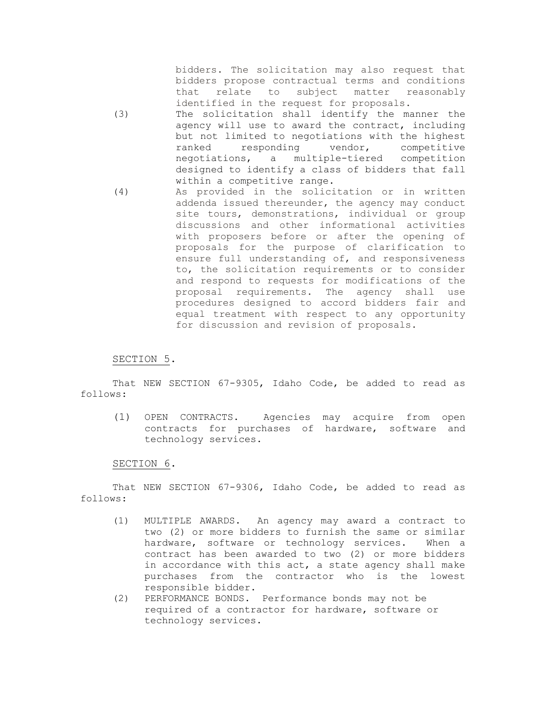bidders. The solicitation may also request that bidders propose contractual terms and conditions that relate to subject matter reasonably identified in the request for proposals.

- (3) The solicitation shall identify the manner the agency will use to award the contract, including but not limited to negotiations with the highest ranked responding vendor, competitive negotiations, a multiple-tiered competition designed to identify a class of bidders that fall within a competitive range.
- (4) As provided in the solicitation or in written addenda issued thereunder, the agency may conduct site tours, demonstrations, individual or group discussions and other informational activities with proposers before or after the opening of proposals for the purpose of clarification to ensure full understanding of, and responsiveness to, the solicitation requirements or to consider and respond to requests for modifications of the proposal requirements. The agency shall use procedures designed to accord bidders fair and equal treatment with respect to any opportunity for discussion and revision of proposals.

# SECTION 5.

That NEW SECTION 67-9305, Idaho Code, be added to read as follows:

(1) OPEN CONTRACTS. Agencies may acquire from open contracts for purchases of hardware, software and technology services.

#### SECTION 6.

That NEW SECTION 67-9306, Idaho Code, be added to read as follows:

- (1) MULTIPLE AWARDS. An agency may award a contract to two (2) or more bidders to furnish the same or similar hardware, software or technology services. When a contract has been awarded to two (2) or more bidders in accordance with this act, a state agency shall make purchases from the contractor who is the lowest responsible bidder.
- (2) PERFORMANCE BONDS. Performance bonds may not be required of a contractor for hardware, software or technology services.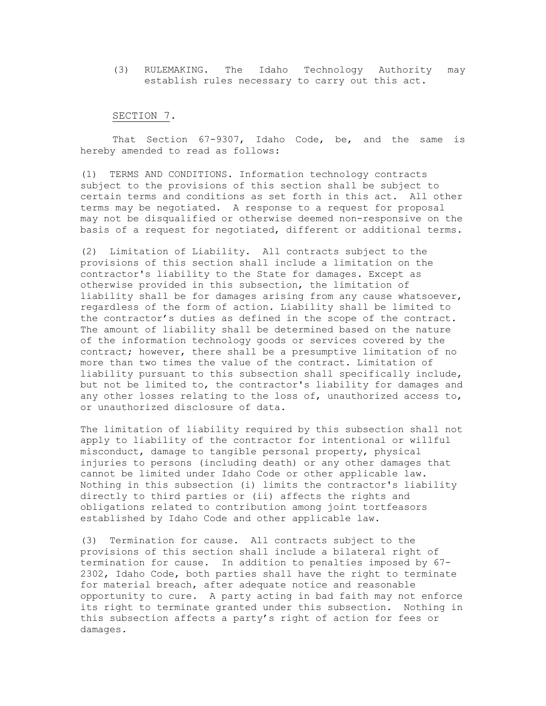(3) RULEMAKING. The Idaho Technology Authority may establish rules necessary to carry out this act.

#### SECTION 7.

That Section 67-9307, Idaho Code, be, and the same is hereby amended to read as follows:

(1) TERMS AND CONDITIONS. Information technology contracts subject to the provisions of this section shall be subject to certain terms and conditions as set forth in this act. All other terms may be negotiated. A response to a request for proposal may not be disqualified or otherwise deemed non-responsive on the basis of a request for negotiated, different or additional terms.

(2) Limitation of Liability. All contracts subject to the provisions of this section shall include a limitation on the contractor's liability to the State for damages. Except as otherwise provided in this subsection, the limitation of liability shall be for damages arising from any cause whatsoever, regardless of the form of action. Liability shall be limited to the contractor's duties as defined in the scope of the contract. The amount of liability shall be determined based on the nature of the information technology goods or services covered by the contract; however, there shall be a presumptive limitation of no more than two times the value of the contract. Limitation of liability pursuant to this subsection shall specifically include, but not be limited to, the contractor's liability for damages and any other losses relating to the loss of, unauthorized access to, or unauthorized disclosure of data.

The limitation of liability required by this subsection shall not apply to liability of the contractor for intentional or willful misconduct, damage to tangible personal property, physical injuries to persons (including death) or any other damages that cannot be limited under Idaho Code or other applicable law. Nothing in this subsection (i) limits the contractor's liability directly to third parties or (ii) affects the rights and obligations related to contribution among joint tortfeasors established by Idaho Code and other applicable law.

(3) Termination for cause. All contracts subject to the provisions of this section shall include a bilateral right of termination for cause. In addition to penalties imposed by 67- 2302, Idaho Code, both parties shall have the right to terminate for material breach, after adequate notice and reasonable opportunity to cure. A party acting in bad faith may not enforce its right to terminate granted under this subsection. Nothing in this subsection affects a party's right of action for fees or damages.